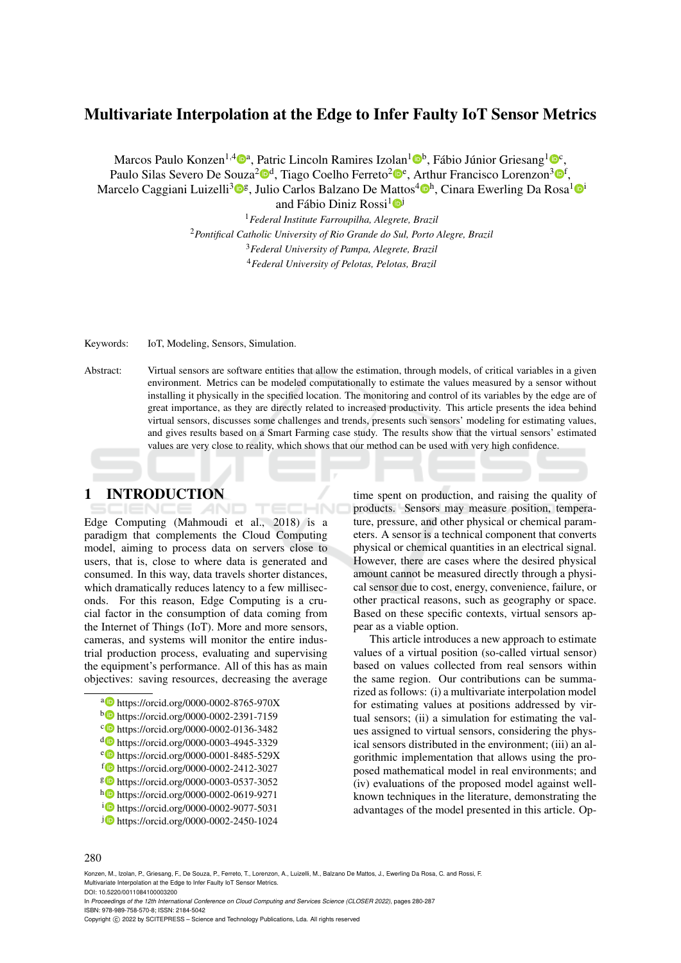# Multivariate Interpolation at the Edge to Infer Faulty IoT Sensor Metrics

Marcos Paulo Konzen<sup>1,4</sup><sup>0</sup>ª, Patric Lincoln Ramires Izolan<sup>1</sup><sup>0b</sup>, Fábio Júnior Griesang<sup>1</sup><sup>0</sup>°, Paulo Silas Severo De Souza<sup>2</sup><sup>®</sup>, Tiago Coelho Ferreto<sup>2</sup>®<sup>e</sup>, Arthur Francisco Lorenzon<sup>3</sup>®<sup>f</sup>, Marcelo Caggiani Luizelli<sup>3</sup>®§, Julio Carlos Balzano De Mattos<sup>4</sup>®ʰ, Cinara Ewerling Da Rosa<sup>1</sup>®<sup>i</sup>

and Fábio Diniz Rossi<sup>1</sup>

*Federal Institute Farroupilha, Alegrete, Brazil Pontifical Catholic University of Rio Grande do Sul, Porto Alegre, Brazil Federal University of Pampa, Alegrete, Brazil Federal University of Pelotas, Pelotas, Brazil*

Keywords: IoT, Modeling, Sensors, Simulation.

Abstract: Virtual sensors are software entities that allow the estimation, through models, of critical variables in a given environment. Metrics can be modeled computationally to estimate the values measured by a sensor without installing it physically in the specified location. The monitoring and control of its variables by the edge are of great importance, as they are directly related to increased productivity. This article presents the idea behind virtual sensors, discusses some challenges and trends, presents such sensors' modeling for estimating values, and gives results based on a Smart Farming case study. The results show that the virtual sensors' estimated values are very close to reality, which shows that our method can be used with very high confidence.

**IHNO** 

# 1 INTRODUCTION

Edge Computing (Mahmoudi et al., 2018) is a paradigm that complements the Cloud Computing model, aiming to process data on servers close to users, that is, close to where data is generated and consumed. In this way, data travels shorter distances, which dramatically reduces latency to a few milliseconds. For this reason, Edge Computing is a crucial factor in the consumption of data coming from the Internet of Things (IoT). More and more sensors, cameras, and systems will monitor the entire industrial production process, evaluating and supervising the equipment's performance. All of this has as main objectives: saving resources, decreasing the average

- <sup>a</sup> https://orcid.org/0000-0002-8765-970X
- <sup>b</sup> https://orcid.org/0000-0002-2391-7159
- <sup>c</sup> https://orcid.org/0000-0002-0136-3482
- <sup>d</sup> https://orcid.org/0000-0003-4945-3329
- <sup>e</sup> https://orcid.org/0000-0001-8485-529X
- <sup>f</sup> https://orcid.org/0000-0002-2412-3027
- <sup>g</sup> https://orcid.org/0000-0003-0537-3052
- <sup>h</sup> https://orcid.org/0000-0002-0619-9271
- <sup>i</sup> https://orcid.org/0000-0002-9077-5031
- <sup>j</sup> https://orcid.org/0000-0002-2450-1024

time spent on production, and raising the quality of products. Sensors may measure position, temperature, pressure, and other physical or chemical parameters. A sensor is a technical component that converts physical or chemical quantities in an electrical signal. However, there are cases where the desired physical amount cannot be measured directly through a physical sensor due to cost, energy, convenience, failure, or other practical reasons, such as geography or space. Based on these specific contexts, virtual sensors appear as a viable option.

This article introduces a new approach to estimate values of a virtual position (so-called virtual sensor) based on values collected from real sensors within the same region. Our contributions can be summarized as follows: (i) a multivariate interpolation model for estimating values at positions addressed by virtual sensors; (ii) a simulation for estimating the values assigned to virtual sensors, considering the physical sensors distributed in the environment; (iii) an algorithmic implementation that allows using the proposed mathematical model in real environments; and (iv) evaluations of the proposed model against wellknown techniques in the literature, demonstrating the advantages of the model presented in this article. Op-

#### 280

Konzen, M., Izolan, P., Griesang, F., De Souza, P., Ferreto, T., Lorenzon, A., Luizelli, M., Balzano De Mattos, J., Ewerling Da Rosa, C. and Rossi, F. Multivariate Interpolation at the Edge to Infer Faulty IoT Sensor Metrics. DOI: 10.5220/0011084100003200

In *Proceedings of the 12th International Conference on Cloud Computing and Services Science (CLOSER 2022)*, pages 280-287 ISBN: 978-989-758-570-8; ISSN: 2184-5042

Copyright (C) 2022 by SCITEPRESS - Science and Technology Publications, Lda. All rights reserved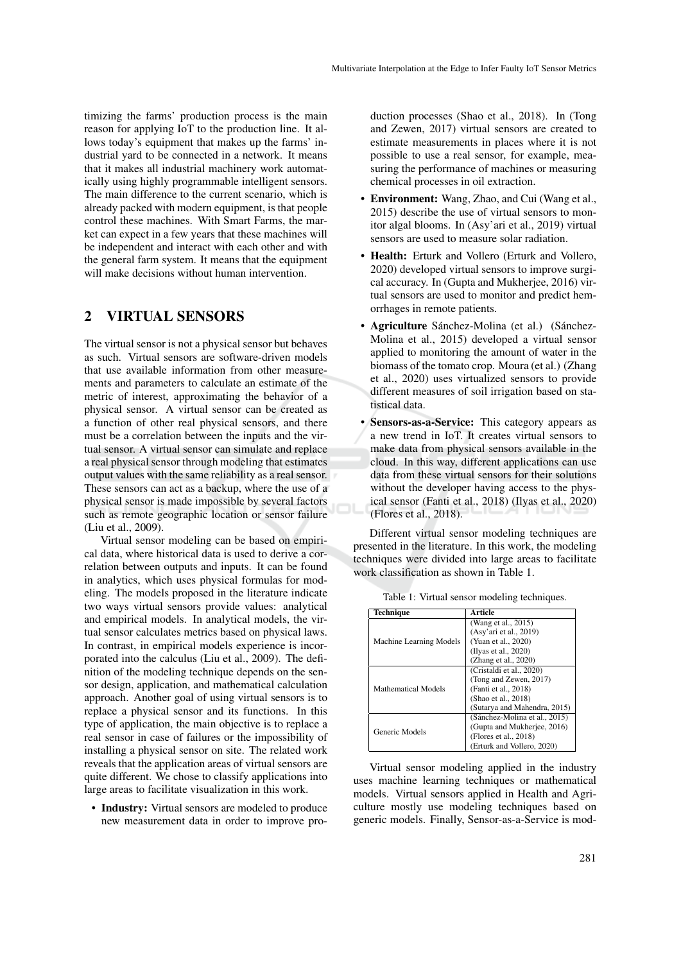timizing the farms' production process is the main reason for applying IoT to the production line. It allows today's equipment that makes up the farms' industrial yard to be connected in a network. It means that it makes all industrial machinery work automatically using highly programmable intelligent sensors. The main difference to the current scenario, which is already packed with modern equipment, is that people control these machines. With Smart Farms, the market can expect in a few years that these machines will be independent and interact with each other and with the general farm system. It means that the equipment will make decisions without human intervention.

# 2 VIRTUAL SENSORS

The virtual sensor is not a physical sensor but behaves as such. Virtual sensors are software-driven models that use available information from other measurements and parameters to calculate an estimate of the metric of interest, approximating the behavior of a physical sensor. A virtual sensor can be created as a function of other real physical sensors, and there must be a correlation between the inputs and the virtual sensor. A virtual sensor can simulate and replace a real physical sensor through modeling that estimates output values with the same reliability as a real sensor. These sensors can act as a backup, where the use of a physical sensor is made impossible by several factors such as remote geographic location or sensor failure (Liu et al., 2009).

Virtual sensor modeling can be based on empirical data, where historical data is used to derive a correlation between outputs and inputs. It can be found in analytics, which uses physical formulas for modeling. The models proposed in the literature indicate two ways virtual sensors provide values: analytical and empirical models. In analytical models, the virtual sensor calculates metrics based on physical laws. In contrast, in empirical models experience is incorporated into the calculus (Liu et al., 2009). The definition of the modeling technique depends on the sensor design, application, and mathematical calculation approach. Another goal of using virtual sensors is to replace a physical sensor and its functions. In this type of application, the main objective is to replace a real sensor in case of failures or the impossibility of installing a physical sensor on site. The related work reveals that the application areas of virtual sensors are quite different. We chose to classify applications into large areas to facilitate visualization in this work.

• Industry: Virtual sensors are modeled to produce new measurement data in order to improve production processes (Shao et al., 2018). In (Tong and Zewen, 2017) virtual sensors are created to estimate measurements in places where it is not possible to use a real sensor, for example, measuring the performance of machines or measuring chemical processes in oil extraction.

- Environment: Wang, Zhao, and Cui (Wang et al., 2015) describe the use of virtual sensors to monitor algal blooms. In (Asy'ari et al., 2019) virtual sensors are used to measure solar radiation.
- Health: Erturk and Vollero (Erturk and Vollero, 2020) developed virtual sensors to improve surgical accuracy. In (Gupta and Mukherjee, 2016) virtual sensors are used to monitor and predict hemorrhages in remote patients.
- Agriculture Sánchez-Molina (et al.) (Sánchez-Molina et al., 2015) developed a virtual sensor applied to monitoring the amount of water in the biomass of the tomato crop. Moura (et al.) (Zhang et al., 2020) uses virtualized sensors to provide different measures of soil irrigation based on statistical data.
- Sensors-as-a-Service: This category appears as a new trend in IoT. It creates virtual sensors to make data from physical sensors available in the cloud. In this way, different applications can use data from these virtual sensors for their solutions without the developer having access to the physical sensor (Fanti et al., 2018) (Ilyas et al., 2020) (Flores et al., 2018).

Different virtual sensor modeling techniques are presented in the literature. In this work, the modeling techniques were divided into large areas to facilitate work classification as shown in Table 1.

| <b>Technique</b>           | <b>Article</b>                |
|----------------------------|-------------------------------|
| Machine Learning Models    | (Wang et al., 2015)           |
|                            | (Asy'ari et al., 2019)        |
|                            | (Yuan et al., 2020)           |
|                            | (Ilyas et al., 2020)          |
|                            | (Zhang et al., 2020)          |
| <b>Mathematical Models</b> | (Cristaldi et al., 2020)      |
|                            | (Tong and Zewen, 2017)        |
|                            | (Fanti et al., 2018)          |
|                            | (Shao et al., 2018)           |
|                            | (Sutarya and Mahendra, 2015)  |
| Generic Models             | (Sánchez-Molina et al., 2015) |
|                            | (Gupta and Mukherjee, 2016)   |
|                            | (Flores et al., 2018)         |
|                            | (Erturk and Vollero, 2020)    |

Table 1: Virtual sensor modeling techniques.

Virtual sensor modeling applied in the industry uses machine learning techniques or mathematical models. Virtual sensors applied in Health and Agriculture mostly use modeling techniques based on generic models. Finally, Sensor-as-a-Service is mod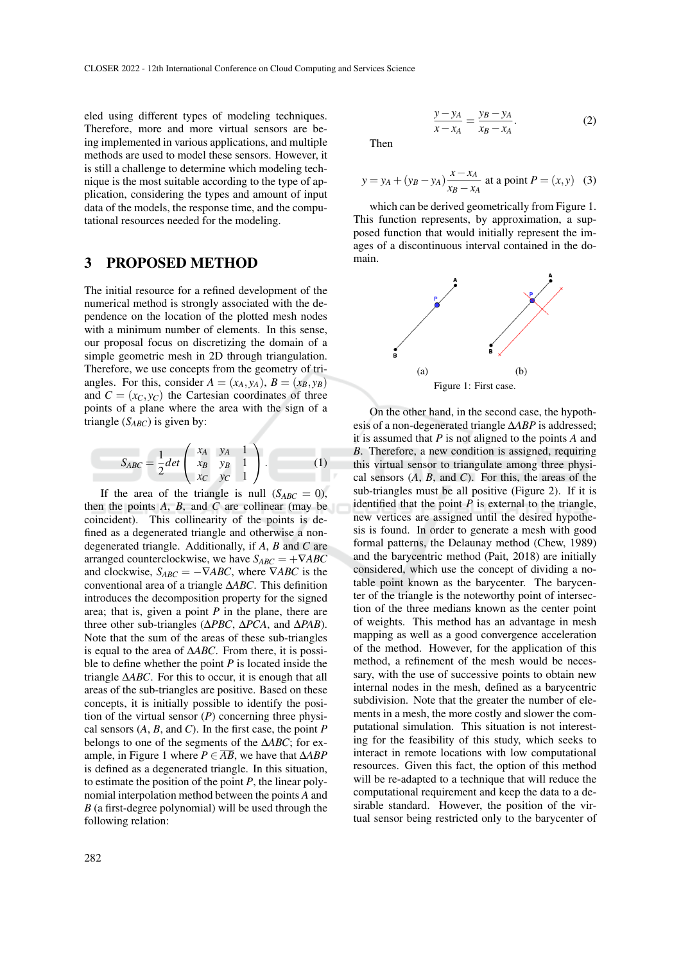eled using different types of modeling techniques. Therefore, more and more virtual sensors are being implemented in various applications, and multiple methods are used to model these sensors. However, it is still a challenge to determine which modeling technique is the most suitable according to the type of application, considering the types and amount of input data of the models, the response time, and the computational resources needed for the modeling.

### 3 PROPOSED METHOD

The initial resource for a refined development of the numerical method is strongly associated with the dependence on the location of the plotted mesh nodes with a minimum number of elements. In this sense, our proposal focus on discretizing the domain of a simple geometric mesh in 2D through triangulation. Therefore, we use concepts from the geometry of triangles. For this, consider  $A = (x_A, y_A), B = (x_B, y_B)$ and  $C = (x_C, y_C)$  the Cartesian coordinates of three points of a plane where the area with the sign of a triangle (*SABC*) is given by:

$$
S_{ABC} = \frac{1}{2}det\begin{pmatrix} x_A & y_A & 1 \\ x_B & y_B & 1 \\ x_C & y_C & 1 \end{pmatrix}.
$$
 (1)

If the area of the triangle is null  $(S_{ABC} = 0)$ , then the points *A*, *B*, and *C* are collinear (may be coincident). This collinearity of the points is defined as a degenerated triangle and otherwise a nondegenerated triangle. Additionally, if *A*, *B* and *C* are arranged counterclockwise, we have  $S_{ABC} = +\nabla ABC$ and clockwise,  $S_{ABC} = -\nabla ABC$ , where  $\nabla ABC$  is the conventional area of a triangle ∆*ABC*. This definition introduces the decomposition property for the signed area; that is, given a point *P* in the plane, there are three other sub-triangles (∆*PBC*, ∆*PCA*, and ∆*PAB*). Note that the sum of the areas of these sub-triangles is equal to the area of ∆*ABC*. From there, it is possible to define whether the point *P* is located inside the triangle ∆*ABC*. For this to occur, it is enough that all areas of the sub-triangles are positive. Based on these concepts, it is initially possible to identify the position of the virtual sensor (*P*) concerning three physical sensors (*A*, *B*, and *C*). In the first case, the point *P* belongs to one of the segments of the ∆*ABC*; for example, in Figure 1 where *P* ∈ *AB*, we have that ∆*ABP* is defined as a degenerated triangle. In this situation, to estimate the position of the point *P*, the linear polynomial interpolation method between the points *A* and *B* (a first-degree polynomial) will be used through the following relation:

Then

$$
y = y_A + (y_B - y_A) \frac{x - x_A}{x_B - x_A}
$$
 at a point  $P = (x, y)$  (3)

which can be derived geometrically from Figure 1. This function represents, by approximation, a supposed function that would initially represent the images of a discontinuous interval contained in the domain.



On the other hand, in the second case, the hypothesis of a non-degenerated triangle ∆*ABP* is addressed; it is assumed that *P* is not aligned to the points *A* and *B*. Therefore, a new condition is assigned, requiring this virtual sensor to triangulate among three physical sensors (*A*, *B*, and *C*). For this, the areas of the sub-triangles must be all positive (Figure 2). If it is identified that the point  $P$  is external to the triangle, new vertices are assigned until the desired hypothesis is found. In order to generate a mesh with good formal patterns, the Delaunay method (Chew, 1989) and the barycentric method (Pait, 2018) are initially considered, which use the concept of dividing a notable point known as the barycenter. The barycenter of the triangle is the noteworthy point of intersection of the three medians known as the center point of weights. This method has an advantage in mesh mapping as well as a good convergence acceleration of the method. However, for the application of this method, a refinement of the mesh would be necessary, with the use of successive points to obtain new internal nodes in the mesh, defined as a barycentric subdivision. Note that the greater the number of elements in a mesh, the more costly and slower the computational simulation. This situation is not interesting for the feasibility of this study, which seeks to interact in remote locations with low computational resources. Given this fact, the option of this method will be re-adapted to a technique that will reduce the computational requirement and keep the data to a desirable standard. However, the position of the virtual sensor being restricted only to the barycenter of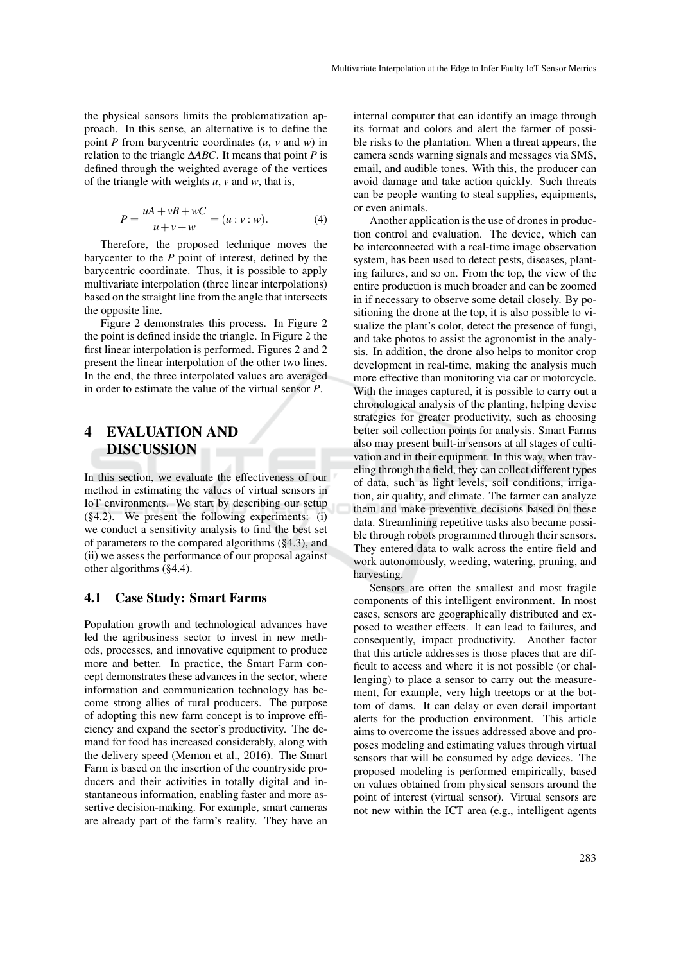the physical sensors limits the problematization approach. In this sense, an alternative is to define the point *P* from barycentric coordinates (*u*, *v* and *w*) in relation to the triangle ∆*ABC*. It means that point *P* is defined through the weighted average of the vertices of the triangle with weights *u*, *v* and *w*, that is,

$$
P = \frac{uA + vB + wC}{u + v + w} = (u : v : w).
$$
 (4)

Therefore, the proposed technique moves the barycenter to the *P* point of interest, defined by the barycentric coordinate. Thus, it is possible to apply multivariate interpolation (three linear interpolations) based on the straight line from the angle that intersects the opposite line.

Figure 2 demonstrates this process. In Figure 2 the point is defined inside the triangle. In Figure 2 the first linear interpolation is performed. Figures 2 and 2 present the linear interpolation of the other two lines. In the end, the three interpolated values are averaged in order to estimate the value of the virtual sensor *P*.

# 4 EVALUATION AND DISCUSSION

In this section, we evaluate the effectiveness of our method in estimating the values of virtual sensors in IoT environments. We start by describing our setup (§4.2). We present the following experiments: (i) we conduct a sensitivity analysis to find the best set of parameters to the compared algorithms (§4.3), and (ii) we assess the performance of our proposal against other algorithms (§4.4).

#### 4.1 Case Study: Smart Farms

Population growth and technological advances have led the agribusiness sector to invest in new methods, processes, and innovative equipment to produce more and better. In practice, the Smart Farm concept demonstrates these advances in the sector, where information and communication technology has become strong allies of rural producers. The purpose of adopting this new farm concept is to improve efficiency and expand the sector's productivity. The demand for food has increased considerably, along with the delivery speed (Memon et al., 2016). The Smart Farm is based on the insertion of the countryside producers and their activities in totally digital and instantaneous information, enabling faster and more assertive decision-making. For example, smart cameras are already part of the farm's reality. They have an

internal computer that can identify an image through its format and colors and alert the farmer of possible risks to the plantation. When a threat appears, the camera sends warning signals and messages via SMS, email, and audible tones. With this, the producer can avoid damage and take action quickly. Such threats can be people wanting to steal supplies, equipments, or even animals.

Another application is the use of drones in production control and evaluation. The device, which can be interconnected with a real-time image observation system, has been used to detect pests, diseases, planting failures, and so on. From the top, the view of the entire production is much broader and can be zoomed in if necessary to observe some detail closely. By positioning the drone at the top, it is also possible to visualize the plant's color, detect the presence of fungi, and take photos to assist the agronomist in the analysis. In addition, the drone also helps to monitor crop development in real-time, making the analysis much more effective than monitoring via car or motorcycle. With the images captured, it is possible to carry out a chronological analysis of the planting, helping devise strategies for greater productivity, such as choosing better soil collection points for analysis. Smart Farms also may present built-in sensors at all stages of cultivation and in their equipment. In this way, when traveling through the field, they can collect different types of data, such as light levels, soil conditions, irrigation, air quality, and climate. The farmer can analyze them and make preventive decisions based on these data. Streamlining repetitive tasks also became possible through robots programmed through their sensors. They entered data to walk across the entire field and work autonomously, weeding, watering, pruning, and harvesting.

Sensors are often the smallest and most fragile components of this intelligent environment. In most cases, sensors are geographically distributed and exposed to weather effects. It can lead to failures, and consequently, impact productivity. Another factor that this article addresses is those places that are difficult to access and where it is not possible (or challenging) to place a sensor to carry out the measurement, for example, very high treetops or at the bottom of dams. It can delay or even derail important alerts for the production environment. This article aims to overcome the issues addressed above and proposes modeling and estimating values through virtual sensors that will be consumed by edge devices. The proposed modeling is performed empirically, based on values obtained from physical sensors around the point of interest (virtual sensor). Virtual sensors are not new within the ICT area (e.g., intelligent agents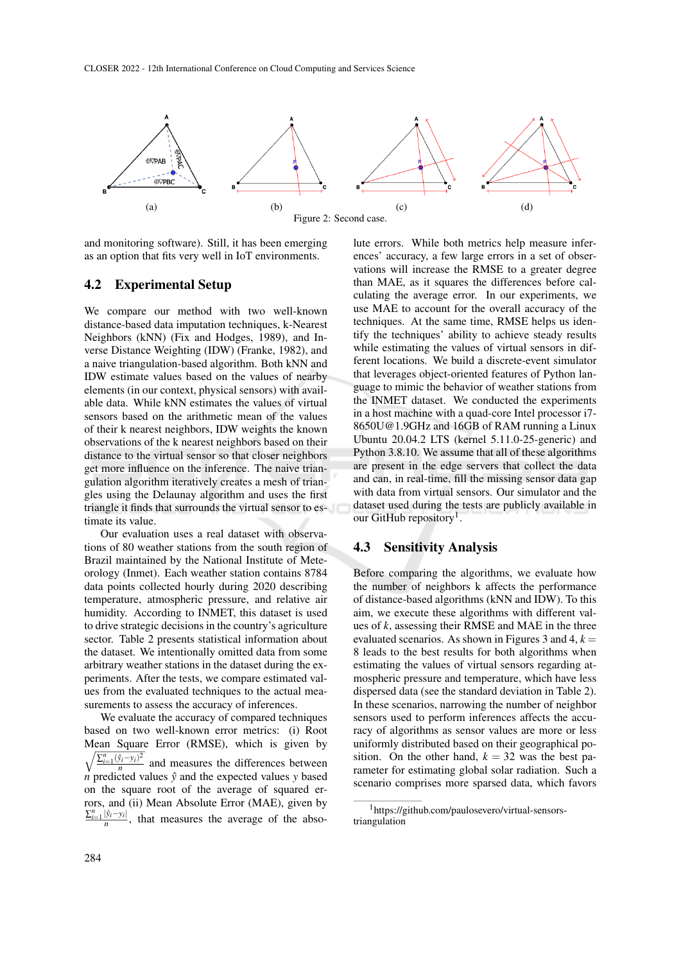

and monitoring software). Still, it has been emerging as an option that fits very well in IoT environments.

#### 4.2 Experimental Setup

We compare our method with two well-known distance-based data imputation techniques, k-Nearest Neighbors (kNN) (Fix and Hodges, 1989), and Inverse Distance Weighting (IDW) (Franke, 1982), and a naive triangulation-based algorithm. Both kNN and IDW estimate values based on the values of nearby elements (in our context, physical sensors) with available data. While kNN estimates the values of virtual sensors based on the arithmetic mean of the values of their k nearest neighbors, IDW weights the known observations of the k nearest neighbors based on their distance to the virtual sensor so that closer neighbors get more influence on the inference. The naive triangulation algorithm iteratively creates a mesh of triangles using the Delaunay algorithm and uses the first triangle it finds that surrounds the virtual sensor to estimate its value.

Our evaluation uses a real dataset with observations of 80 weather stations from the south region of Brazil maintained by the National Institute of Meteorology (Inmet). Each weather station contains 8784 data points collected hourly during 2020 describing temperature, atmospheric pressure, and relative air humidity. According to INMET, this dataset is used to drive strategic decisions in the country's agriculture sector. Table 2 presents statistical information about the dataset. We intentionally omitted data from some arbitrary weather stations in the dataset during the experiments. After the tests, we compare estimated values from the evaluated techniques to the actual measurements to assess the accuracy of inferences.

We evaluate the accuracy of compared techniques based on two well-known error metrics: (i) Root Mean Square Error (RMSE), which is given by  $\sqrt{\sum_{i=1}^{n} (\hat{y}_i - y_i)^2}$  $\frac{y_i - y_i}{n}$  and measures the differences between *n* predicted values  $\hat{v}$  and the expected values *y* based on the square root of the average of squared errors, and (ii) Mean Absolute Error (MAE), given by  $\sum_{i=1}^n |\hat{y}_i - y_i|$  $\frac{|y_i - y_i|}{n}$ , that measures the average of the abso-

lute errors. While both metrics help measure inferences' accuracy, a few large errors in a set of observations will increase the RMSE to a greater degree than MAE, as it squares the differences before calculating the average error. In our experiments, we use MAE to account for the overall accuracy of the techniques. At the same time, RMSE helps us identify the techniques' ability to achieve steady results while estimating the values of virtual sensors in different locations. We build a discrete-event simulator that leverages object-oriented features of Python language to mimic the behavior of weather stations from the INMET dataset. We conducted the experiments in a host machine with a quad-core Intel processor i7- 8650U@1.9GHz and 16GB of RAM running a Linux Ubuntu 20.04.2 LTS (kernel 5.11.0-25-generic) and Python 3.8.10. We assume that all of these algorithms are present in the edge servers that collect the data and can, in real-time, fill the missing sensor data gap with data from virtual sensors. Our simulator and the dataset used during the tests are publicly available in our GitHub repository<sup>1</sup>.

### 4.3 Sensitivity Analysis

Before comparing the algorithms, we evaluate how the number of neighbors k affects the performance of distance-based algorithms (kNN and IDW). To this aim, we execute these algorithms with different values of *k*, assessing their RMSE and MAE in the three evaluated scenarios. As shown in Figures 3 and 4,  $k =$ 8 leads to the best results for both algorithms when estimating the values of virtual sensors regarding atmospheric pressure and temperature, which have less dispersed data (see the standard deviation in Table 2). In these scenarios, narrowing the number of neighbor sensors used to perform inferences affects the accuracy of algorithms as sensor values are more or less uniformly distributed based on their geographical position. On the other hand,  $k = 32$  was the best parameter for estimating global solar radiation. Such a scenario comprises more sparsed data, which favors

<sup>1</sup>https://github.com/paulosevero/virtual-sensorstriangulation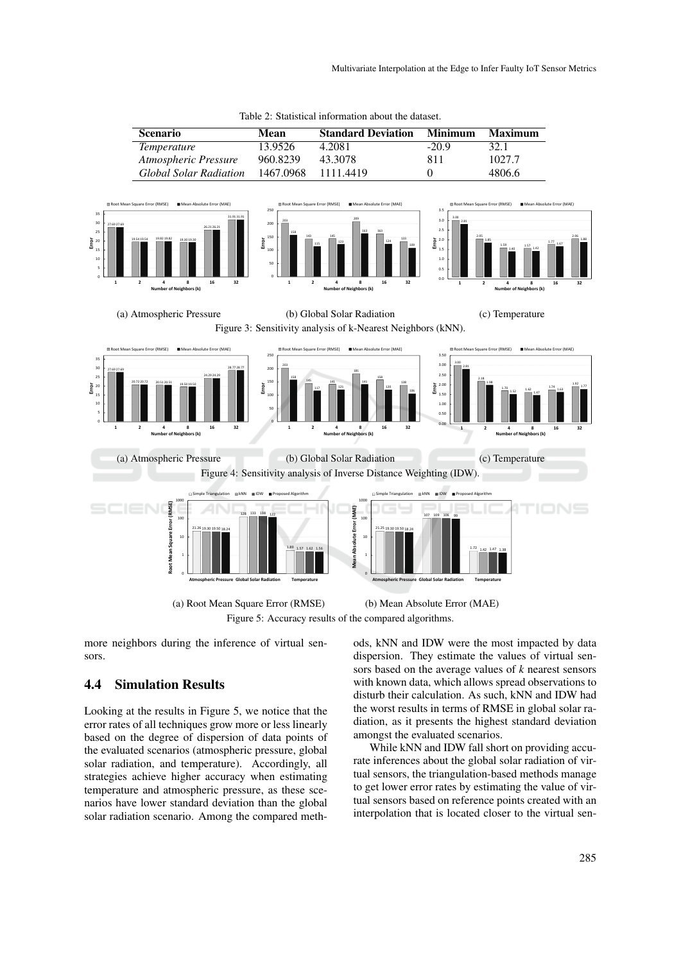

more neighbors during the inference of virtual sensors.

### 4.4 Simulation Results

Looking at the results in Figure 5, we notice that the error rates of all techniques grow more or less linearly based on the degree of dispersion of data points of the evaluated scenarios (atmospheric pressure, global solar radiation, and temperature). Accordingly, all strategies achieve higher accuracy when estimating temperature and atmospheric pressure, as these scenarios have lower standard deviation than the global solar radiation scenario. Among the compared methods, kNN and IDW were the most impacted by data dispersion. They estimate the values of virtual sensors based on the average values of *k* nearest sensors with known data, which allows spread observations to disturb their calculation. As such, kNN and IDW had the worst results in terms of RMSE in global solar radiation, as it presents the highest standard deviation amongst the evaluated scenarios.

While kNN and IDW fall short on providing accurate inferences about the global solar radiation of virtual sensors, the triangulation-based methods manage to get lower error rates by estimating the value of virtual sensors based on reference points created with an interpolation that is located closer to the virtual sen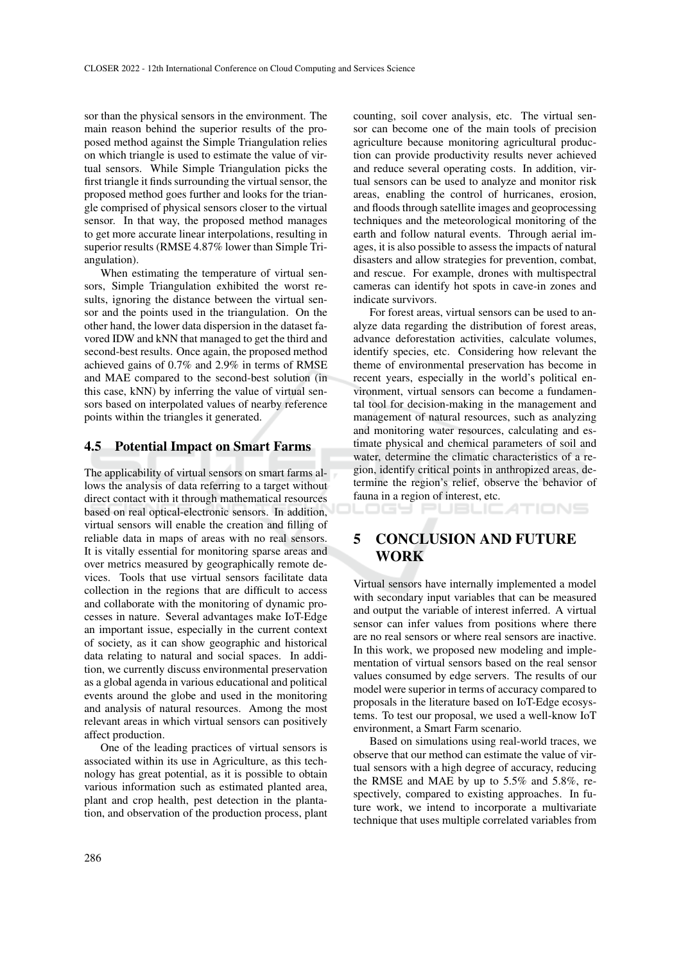sor than the physical sensors in the environment. The main reason behind the superior results of the proposed method against the Simple Triangulation relies on which triangle is used to estimate the value of virtual sensors. While Simple Triangulation picks the first triangle it finds surrounding the virtual sensor, the proposed method goes further and looks for the triangle comprised of physical sensors closer to the virtual sensor. In that way, the proposed method manages to get more accurate linear interpolations, resulting in superior results (RMSE 4.87% lower than Simple Triangulation).

When estimating the temperature of virtual sensors, Simple Triangulation exhibited the worst results, ignoring the distance between the virtual sensor and the points used in the triangulation. On the other hand, the lower data dispersion in the dataset favored IDW and kNN that managed to get the third and second-best results. Once again, the proposed method achieved gains of 0.7% and 2.9% in terms of RMSE and MAE compared to the second-best solution (in this case, kNN) by inferring the value of virtual sensors based on interpolated values of nearby reference points within the triangles it generated.

#### 4.5 Potential Impact on Smart Farms

The applicability of virtual sensors on smart farms allows the analysis of data referring to a target without direct contact with it through mathematical resources based on real optical-electronic sensors. In addition, virtual sensors will enable the creation and filling of reliable data in maps of areas with no real sensors. It is vitally essential for monitoring sparse areas and over metrics measured by geographically remote devices. Tools that use virtual sensors facilitate data collection in the regions that are difficult to access and collaborate with the monitoring of dynamic processes in nature. Several advantages make IoT-Edge an important issue, especially in the current context of society, as it can show geographic and historical data relating to natural and social spaces. In addition, we currently discuss environmental preservation as a global agenda in various educational and political events around the globe and used in the monitoring and analysis of natural resources. Among the most relevant areas in which virtual sensors can positively affect production.

One of the leading practices of virtual sensors is associated within its use in Agriculture, as this technology has great potential, as it is possible to obtain various information such as estimated planted area, plant and crop health, pest detection in the plantation, and observation of the production process, plant counting, soil cover analysis, etc. The virtual sensor can become one of the main tools of precision agriculture because monitoring agricultural production can provide productivity results never achieved and reduce several operating costs. In addition, virtual sensors can be used to analyze and monitor risk areas, enabling the control of hurricanes, erosion, and floods through satellite images and geoprocessing techniques and the meteorological monitoring of the earth and follow natural events. Through aerial images, it is also possible to assess the impacts of natural disasters and allow strategies for prevention, combat, and rescue. For example, drones with multispectral cameras can identify hot spots in cave-in zones and indicate survivors.

For forest areas, virtual sensors can be used to analyze data regarding the distribution of forest areas, advance deforestation activities, calculate volumes, identify species, etc. Considering how relevant the theme of environmental preservation has become in recent years, especially in the world's political environment, virtual sensors can become a fundamental tool for decision-making in the management and management of natural resources, such as analyzing and monitoring water resources, calculating and estimate physical and chemical parameters of soil and water, determine the climatic characteristics of a region, identify critical points in anthropized areas, determine the region's relief, observe the behavior of fauna in a region of interest, etc.

5 CONCLUSION AND FUTURE WORK

LOGY PUBLICATIONS

Virtual sensors have internally implemented a model with secondary input variables that can be measured and output the variable of interest inferred. A virtual sensor can infer values from positions where there are no real sensors or where real sensors are inactive. In this work, we proposed new modeling and implementation of virtual sensors based on the real sensor values consumed by edge servers. The results of our model were superior in terms of accuracy compared to proposals in the literature based on IoT-Edge ecosystems. To test our proposal, we used a well-know IoT environment, a Smart Farm scenario.

Based on simulations using real-world traces, we observe that our method can estimate the value of virtual sensors with a high degree of accuracy, reducing the RMSE and MAE by up to 5.5% and 5.8%, respectively, compared to existing approaches. In future work, we intend to incorporate a multivariate technique that uses multiple correlated variables from